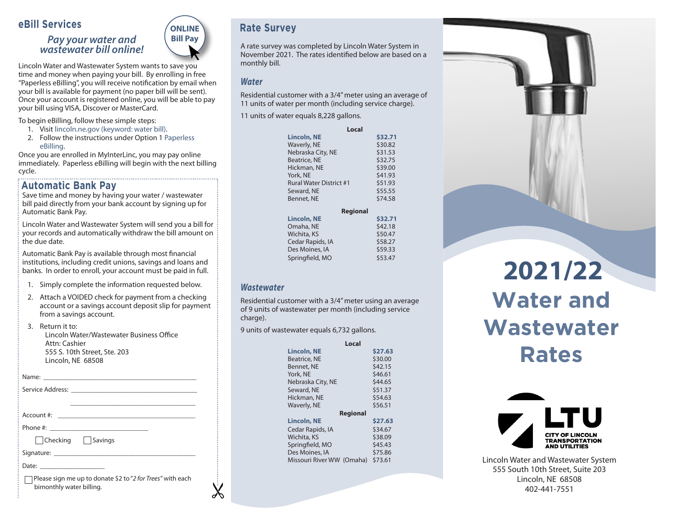#### **eBill Services**

#### *Pay your water and wastewater bill online!*



Lincoln Water and Wastewater System wants to save you time and money when paying your bill. By enrolling in free "Paperless eBilling", you will receive notification by email when your bill is available for payment (no paper bill will be sent). Once your account is registered online, you will be able to pay your bill using VISA, Discover or MasterCard.

To begin eBilling, follow these simple steps:

- 1. Visit lincoln.ne.gov (keyword: water bill).
- 2. Follow the instructions under Option 1 Paperless eBilling.

Once you are enrolled in MyInterLinc, you may pay online immediately. Paperless eBilling will begin with the next billing cycle. 

#### **Automatic Bank Pay**

Save time and money by having your water / wastewater bill paid directly from your bank account by signing up for Automatic Bank Pay.

Lincoln Water and Wastewater System will send you a bill for your records and automatically withdraw the bill amount on the due date.

Automatic Bank Pay is available through most financial institutions, including credit unions, savings and loans and banks. In order to enroll, your account must be paid in full.

- 1. Simply complete the information requested below.
- 2. Attach a VOIDED check for payment from a checking account or a savings account deposit slip for payment from a savings account.

3. Return it to: Lincoln Water/Wastewater Business Office Attn: Cashier 555 S. 10th Street, Ste. 203 Lincoln, NE 68508

Name: \_\_\_\_\_\_\_\_\_\_\_\_\_\_\_\_\_\_\_\_\_\_\_\_\_\_\_\_\_\_\_\_\_\_\_\_\_\_\_\_\_\_\_\_\_

| Service Address: |  |
|------------------|--|
|                  |  |
|                  |  |
| Account #:       |  |

Phone #:

 $\Box$ Checking  $\Box$ Savings

Signature:

Date:

 Please sign me up to donate \$2 to "*2 for Trees"* with each bimonthly water billing.

## **Rate Survey**

A rate survey was completed by Lincoln Water System in November 2021. The rates identified below are based on a monthly bill.

#### *Water*

Residential customer with a 3/4" meter using an average of 11 units of water per month (including service charge).

11 units of water equals 8,228 gallons.

|                                | Local           |
|--------------------------------|-----------------|
| <b>Lincoln, NE</b>             | \$32.71         |
| Waverly, NE                    | \$30.82         |
| Nebraska City, NE              | \$31.53         |
| <b>Beatrice, NE</b>            | \$32.75         |
| Hickman, NE                    | \$39.00         |
| York, NE                       | \$41.93         |
| <b>Rural Water District #1</b> | \$51.93         |
| Seward, NE                     | \$55.55         |
| <b>Bennet, NE</b>              | \$74.58         |
|                                | <b>Regional</b> |
| <b>Lincoln, NE</b>             | \$32.71         |
| Omaha, NE                      | \$42.18         |
| Wichita, KS                    | \$50.47         |
| Cedar Rapids, IA               | \$58.27         |
| Des Moines, IA                 | \$59.33         |
| Springfield, MO                | \$53.47         |
|                                |                 |

#### *Wastewater*

Residential customer with a 3/4" meter using an average of 9 units of wastewater per month (including service charge).

9 units of wastewater equals 6,732 gallons.

| Local                     |         |
|---------------------------|---------|
| <b>Lincoln, NE</b>        | \$27.63 |
| Beatrice, NE              | \$30.00 |
| Bennet, NE                | \$42.15 |
| York, NE                  | \$46.61 |
| Nebraska City, NE         | \$44.65 |
| Seward, NE                | \$51.37 |
| Hickman, NE               | \$54.63 |
| Waverly, NE               | \$56.51 |
| <b>Regional</b>           |         |
| <b>Lincoln, NE</b>        | \$27.63 |
| Cedar Rapids, IA          | \$34.67 |
| Wichita, KS               | \$38.09 |
| Springfield, MO           | \$45.43 |
| Des Moines, IA            | \$75.86 |
| Missouri River WW (Omaha) | \$73.61 |

# **Water and Wastewater Rates 2021/22**



Lincoln Water and Wastewater System 555 South 10th Street, Suite 203 Lincoln, NE 68508 402-441-7551